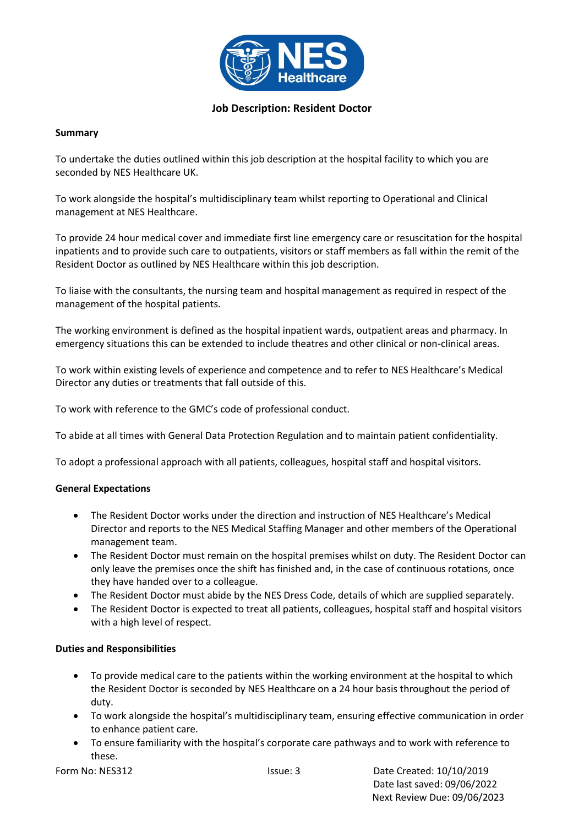

### **Job Description: Resident Doctor**

### **Summary**

To undertake the duties outlined within this job description at the hospital facility to which you are seconded by NES Healthcare UK.

To work alongside the hospital's multidisciplinary team whilst reporting to Operational and Clinical management at NES Healthcare.

To provide 24 hour medical cover and immediate first line emergency care or resuscitation for the hospital inpatients and to provide such care to outpatients, visitors or staff members as fall within the remit of the Resident Doctor as outlined by NES Healthcare within this job description.

To liaise with the consultants, the nursing team and hospital management as required in respect of the management of the hospital patients.

The working environment is defined as the hospital inpatient wards, outpatient areas and pharmacy. In emergency situations this can be extended to include theatres and other clinical or non-clinical areas.

To work within existing levels of experience and competence and to refer to NES Healthcare's Medical Director any duties or treatments that fall outside of this.

To work with reference to the GMC's code of professional conduct.

To abide at all times with General Data Protection Regulation and to maintain patient confidentiality.

To adopt a professional approach with all patients, colleagues, hospital staff and hospital visitors.

#### **General Expectations**

- The Resident Doctor works under the direction and instruction of NES Healthcare's Medical Director and reports to the NES Medical Staffing Manager and other members of the Operational management team.
- The Resident Doctor must remain on the hospital premises whilst on duty. The Resident Doctor can only leave the premises once the shift has finished and, in the case of continuous rotations, once they have handed over to a colleague.
- The Resident Doctor must abide by the NES Dress Code, details of which are supplied separately.
- The Resident Doctor is expected to treat all patients, colleagues, hospital staff and hospital visitors with a high level of respect.

#### **Duties and Responsibilities**

- To provide medical care to the patients within the working environment at the hospital to which the Resident Doctor is seconded by NES Healthcare on a 24 hour basis throughout the period of duty.
- To work alongside the hospital's multidisciplinary team, ensuring effective communication in order to enhance patient care.
- To ensure familiarity with the hospital's corporate care pathways and to work with reference to these.